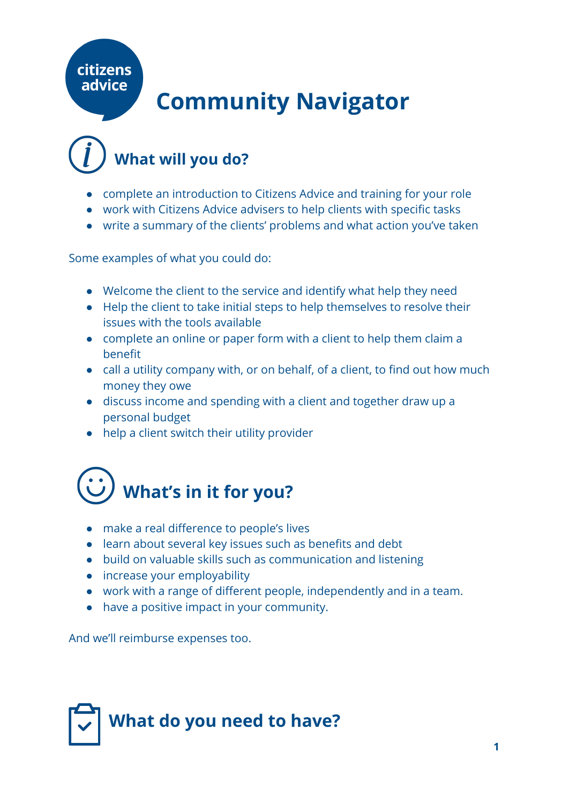### citizens advice

### **Community Navigator**

### **What will you do?**

- complete an introduction to Citizens Advice and training for your role
- work with Citizens Advice advisers to help clients with specific tasks
- write a summary of the clients' problems and what action you've taken

Some examples of what you could do:

- Welcome the client to the service and identify what help they need
- Help the client to take initial steps to help themselves to resolve their issues with the tools available
- complete an online or paper form with a client to help them claim a benefit
- call a utility company with, or on behalf, of a client, to find out how much money they owe
- discuss income and spending with a client and together draw up a personal budget
- help a client switch their utility provider

## **What's in it for you?**

- make a real difference to people's lives
- learn about several key issues such as benefits and debt
- build on valuable skills such as communication and listening
- increase your employability
- work with a range of different people, independently and in a team.
- have a positive impact in your community.

And we'll reimburse expenses too.

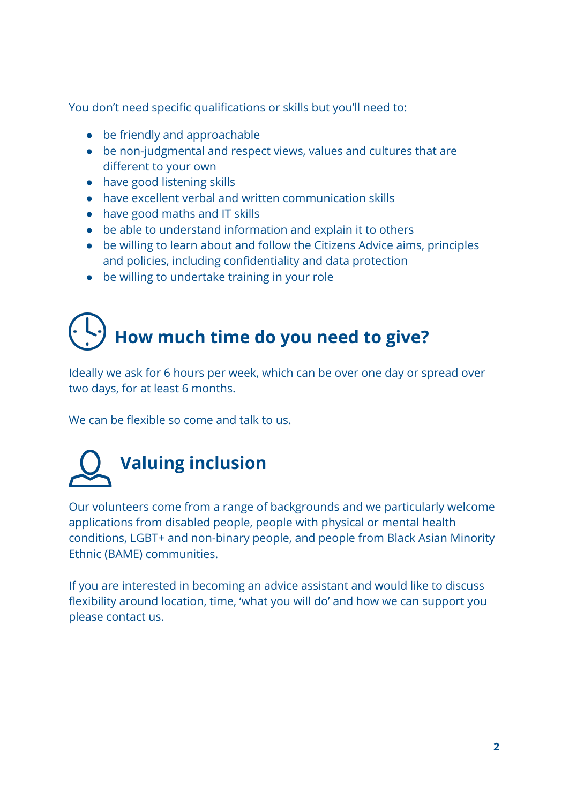You don't need specific qualifications or skills but you'll need to:

- be friendly and approachable
- be non-judgmental and respect views, values and cultures that are different to your own
- have good listening skills
- have excellent verbal and written communication skills
- have good maths and IT skills
- be able to understand information and explain it to others
- be willing to learn about and follow the Citizens Advice aims, principles and policies, including confidentiality and data protection
- be willing to undertake training in your role

## **How much time do you need to give?**

Ideally we ask for 6 hours per week, which can be over one day or spread over two days, for at least 6 months.

We can be flexible so come and talk to us.

# **Valuing inclusion**

Our volunteers come from a range of backgrounds and we particularly welcome applications from disabled people, people with physical or mental health conditions, LGBT+ and non-binary people, and people from Black Asian Minority Ethnic (BAME) communities.

If you are interested in becoming an advice assistant and would like to discuss flexibility around location, time, 'what you will do' and how we can support you please contact us.